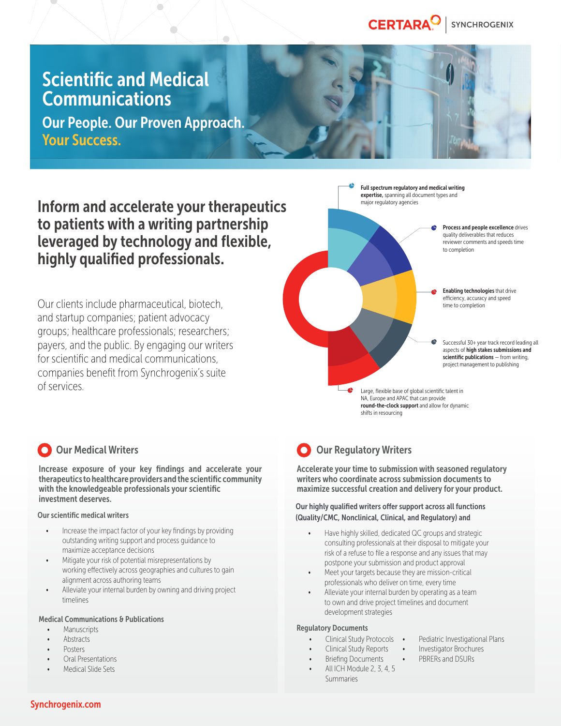#### CERTARA<sup>O</sup> **SYNCHROGENIX**

## Scientific and Medical **Communications**

Our People. Our Proven Approach. Your Success.

 $\sum_{i=1}^{n}$ 

 $\sum_{i=1}^{n}$ 

Inform and accelerate your therapeutics to patients with a writing partnership leveraged by technology and flexible, highly qualified professionals.

Our clients include pharmaceutical, biotech, and startup companies; patient advocacy groups; healthcare professionals; researchers; payers, and the public. By engaging our writers for scientific and medical communications, companies benefit from Synchrogenix's suite of services.



## O Our Medical Writers

Increase exposure of your key findings and accelerate your therapeutics to healthcare providers and the scientific community with the knowledgeable professionals your scientific investment deserves.

#### Our scientific medical writers

- Increase the impact factor of your key findings by providing outstanding writing support and process guidance to maximize acceptance decisions
- Mitigate your risk of potential misrepresentations by working effectively across geographies and cultures to gain alignment across authoring teams
- Alleviate your internal burden by owning and driving project timelines

#### Medical Communications & Publications

- **Manuscripts**
- **Abstracts**
- Posters
- Oral Presentations
- Medical Slide Sets

## **O** Our Regulatory Writers

Accelerate your time to submission with seasoned regulatory writers who coordinate across submission documents to maximize successful creation and delivery for your product.

#### Our highly qualified writers offer support across all functions (Quality/CMC, Nonclinical, Clinical, and Regulatory) and

- Have highly skilled, dedicated QC groups and strategic consulting professionals at their disposal to mitigate your risk of a refuse to file a response and any issues that may postpone your submission and product approval
- Meet your targets because they are mission-critical professionals who deliver on time, every time
- Alleviate your internal burden by operating as a team to own and drive project timelines and document development strategies

#### Regulatory Documents

- Clinical Study Protocols
	- Clinical Study Reports
		- Investigator Brochures • PBRERs and DSURs

Pediatric Investigational Plans

• Briefing Documents • All ICH Module 2, 3, 4, 5 Summaries

Synchrogenix.com